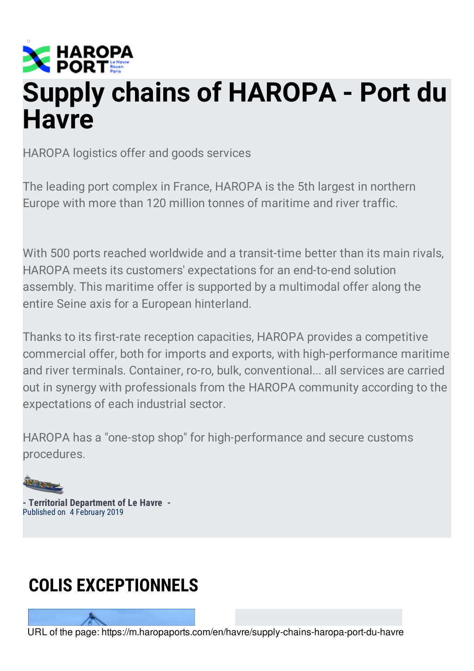

# **Supply chains of HAROPA - Port du Havre**

HAROPA logistics offer and goods services

The leading port complex in France, HAROPA is the 5th largest in northern Europe with more than 120 million tonnes of maritime and river traffic.

With 500 ports reached worldwide and a transit-time better than its main rivals, HAROPA meets its customers' expectations for an end-to-end solution assembly. This maritime offer is supported by a multimodal offer along the entire Seine axis for a European hinterland.

Thanks to its first-rate reception capacities, HAROPA provides a competitive commercial offer, both for imports and exports, with high-performance maritime and river terminals. Container, ro-ro, bulk, conventional... all services are carried out in synergy with professionals from the HAROPA community according to the expectations of each industrial sector.

HAROPA has a "one-stop shop" for high-performance and secure customs procedures.

**- Territorial Department of Le Havre -** Published on 4 February 2019

# **COLIS EXCEPTIONNELS**

URL of the page: https://m.haropaports.com/en/havre/supply-chains-haropa-port-du-havre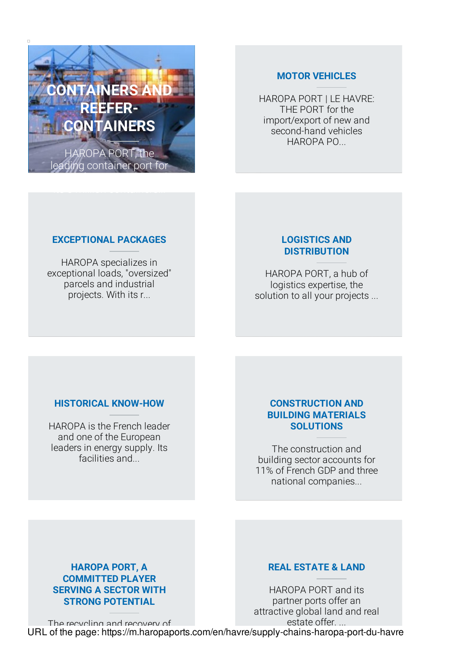

#### **MOTOR VEHICLES**

HAROPA PORT | LE HAVRE: THE PORT for the [import/export](https://m.haropaports.com/en/havre/motor-vehicles) of new and second-hand vehicles HAROPA PO...

#### **[EXCEPTIONAL](https://m.haropaports.com/en/havre/exceptional-packages) PACKAGES**

HAROPA specializes in exceptional loads, "oversized" parcels and industrial projects. With its r...

# **LOGISTICS AND [DISTRIBUTION](https://m.haropaports.com/en/havre/logistics-and-distribution)**

HAROPA PORT, a hub of logistics expertise, the solution to all your projects ...

# **[HISTORICAL](https://m.haropaports.com/en/havre/historical-know-how) KNOW-HOW**

HAROPA is the French leader and one of the European leaders in energy supply. Its facilities and...

#### **[CONSTRUCTION](https://m.haropaports.com/en/havre/construction-and-building-materials-solutions) AND BUILDING MATERIALS SOLUTIONS**

The construction and building sector accounts for 11% of French GDP and three national companies...

# **HAROPA PORT, A COMMITTED PLAYER SERVING A SECTOR WITH STRONG POTENTIAL**

# **REAL ESTATE & LAND**

The recycling and recovery of HAROPA PORT and its partner ports offer an attractive global land and real estate offer. ... URL of the page: [https://m.haropaports.c](https://m.haropaports.com/en/havre/haropa-port-committed-player-serving-sector-strong-potential)om/en/h[avre/supply-chains-haropa-port-du-havre](https://m.haropaports.com/en/havre/real-estate-land)